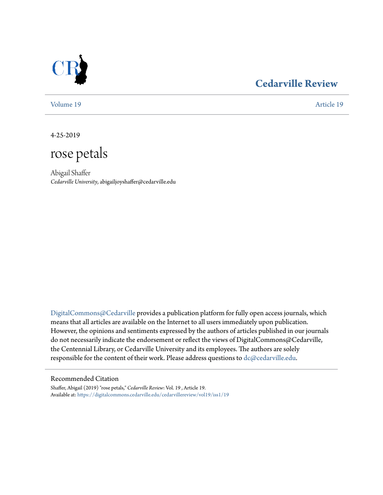

# **[Cedarville Review](https://digitalcommons.cedarville.edu/cedarvillereview?utm_source=digitalcommons.cedarville.edu%2Fcedarvillereview%2Fvol19%2Fiss1%2F19&utm_medium=PDF&utm_campaign=PDFCoverPages)**

[Volume 19](https://digitalcommons.cedarville.edu/cedarvillereview/vol19?utm_source=digitalcommons.cedarville.edu%2Fcedarvillereview%2Fvol19%2Fiss1%2F19&utm_medium=PDF&utm_campaign=PDFCoverPages) [Article 19](https://digitalcommons.cedarville.edu/cedarvillereview/vol19/iss1/19?utm_source=digitalcommons.cedarville.edu%2Fcedarvillereview%2Fvol19%2Fiss1%2F19&utm_medium=PDF&utm_campaign=PDFCoverPages)

4-25-2019

rose petals

Abigail Shaffer *Cedarville University*, abigailjoyshaffer@cedarville.edu

[DigitalCommons@Cedarville](http://digitalcommons.cedarville.edu/) provides a publication platform for fully open access journals, which means that all articles are available on the Internet to all users immediately upon publication. However, the opinions and sentiments expressed by the authors of articles published in our journals do not necessarily indicate the endorsement or reflect the views of DigitalCommons@Cedarville, the Centennial Library, or Cedarville University and its employees. The authors are solely responsible for the content of their work. Please address questions to [dc@cedarville.edu](mailto:dc@cedarville.edu).

## Recommended Citation

Shaffer, Abigail (2019) "rose petals," *Cedarville Review*: Vol. 19 , Article 19. Available at: [https://digitalcommons.cedarville.edu/cedarvillereview/vol19/iss1/19](https://digitalcommons.cedarville.edu/cedarvillereview/vol19/iss1/19?utm_source=digitalcommons.cedarville.edu%2Fcedarvillereview%2Fvol19%2Fiss1%2F19&utm_medium=PDF&utm_campaign=PDFCoverPages)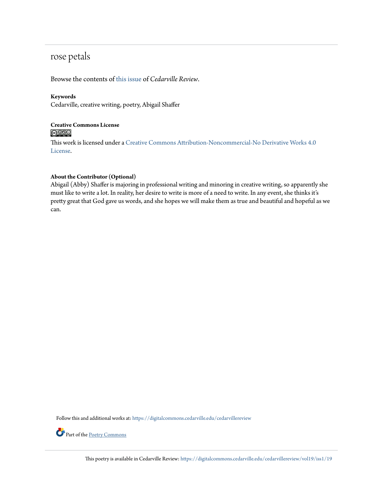# rose petals

Browse the contents of [this issue](https://digitalcommons.cedarville.edu/cedarvillereview/vol19/iss1) of *Cedarville Review*.

## **Keywords**

Cedarville, creative writing, poetry, Abigail Shaffer

# **Creative Commons License**  $\bigcirc$   $\circ$

This work is licensed under a [Creative Commons Attribution-Noncommercial-No Derivative Works 4.0](http://creativecommons.org/licenses/by-nc-nd/4.0/) [License.](http://creativecommons.org/licenses/by-nc-nd/4.0/)

#### **About the Contributor (Optional)**

Abigail (Abby) Shaffer is majoring in professional writing and minoring in creative writing, so apparently she must like to write a lot. In reality, her desire to write is more of a need to write. In any event, she thinks it's pretty great that God gave us words, and she hopes we will make them as true and beautiful and hopeful as we can.

Follow this and additional works at: [https://digitalcommons.cedarville.edu/cedarvillereview](https://digitalcommons.cedarville.edu/cedarvillereview?utm_source=digitalcommons.cedarville.edu%2Fcedarvillereview%2Fvol19%2Fiss1%2F19&utm_medium=PDF&utm_campaign=PDFCoverPages)



Part of the [Poetry Commons](http://network.bepress.com/hgg/discipline/1153?utm_source=digitalcommons.cedarville.edu%2Fcedarvillereview%2Fvol19%2Fiss1%2F19&utm_medium=PDF&utm_campaign=PDFCoverPages)

This poetry is available in Cedarville Review: [https://digitalcommons.cedarville.edu/cedarvillereview/vol19/iss1/19](https://digitalcommons.cedarville.edu/cedarvillereview/vol19/iss1/19?utm_source=digitalcommons.cedarville.edu%2Fcedarvillereview%2Fvol19%2Fiss1%2F19&utm_medium=PDF&utm_campaign=PDFCoverPages)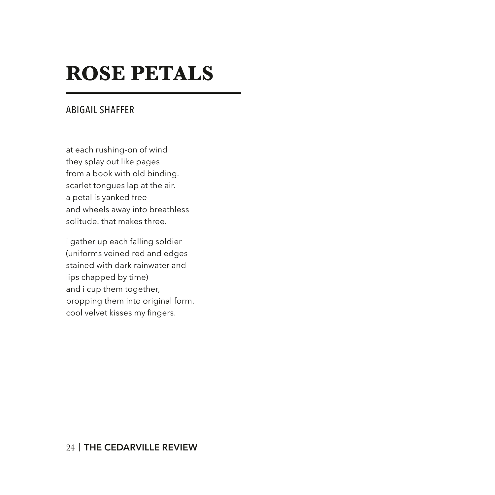# **ROSE PETALS**

# ABIGAIL SHAFFER

at each rushing-on of wind they splay out like pages from a book with old binding. scarlet tongues lap at the air. a petal is yanked free and wheels away into breathless solitude. that makes three.

i gather up each falling soldier (uniforms veined red and edges stained with dark rainwater and lips chapped by time) and i cup them together, propping them into original form. cool velvet kisses my fingers.

## 24 | **THE CEDARVILLE REVIEW**